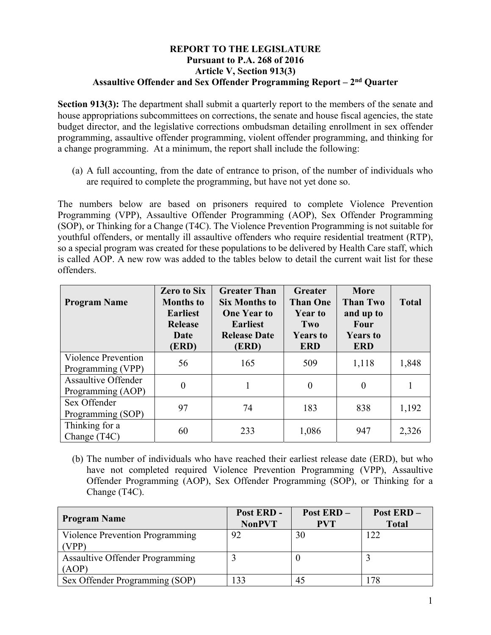## **REPORT TO THE LEGISLATURE Pursuant to P.A. 268 of 2016 Article V, Section 913(3) Assaultive Offender and Sex Offender Programming Report – 2nd Quarter**

**Section 913(3):** The department shall submit a quarterly report to the members of the senate and house appropriations subcommittees on corrections, the senate and house fiscal agencies, the state budget director, and the legislative corrections ombudsman detailing enrollment in sex offender programming, assaultive offender programming, violent offender programming, and thinking for a change programming. At a minimum, the report shall include the following:

(a) A full accounting, from the date of entrance to prison, of the number of individuals who are required to complete the programming, but have not yet done so.

The numbers below are based on prisoners required to complete Violence Prevention Programming (VPP), Assaultive Offender Programming (AOP), Sex Offender Programming (SOP), or Thinking for a Change (T4C). The Violence Prevention Programming is not suitable for youthful offenders, or mentally ill assaultive offenders who require residential treatment (RTP), so a special program was created for these populations to be delivered by Health Care staff, which is called AOP. A new row was added to the tables below to detail the current wait list for these offenders.

| <b>Program Name</b>                             | <b>Zero to Six</b><br><b>Months to</b><br><b>Earliest</b><br><b>Release</b><br>Date<br>(ERD) | <b>Greater Than</b><br><b>Six Months to</b><br><b>One Year to</b><br><b>Earliest</b><br><b>Release Date</b><br>(ERD) | Greater<br><b>Than One</b><br><b>Year to</b><br>Two<br><b>Years to</b><br><b>ERD</b> | More<br><b>Than Two</b><br>and up to<br>Four<br><b>Years to</b><br><b>ERD</b> | <b>Total</b> |
|-------------------------------------------------|----------------------------------------------------------------------------------------------|----------------------------------------------------------------------------------------------------------------------|--------------------------------------------------------------------------------------|-------------------------------------------------------------------------------|--------------|
| Violence Prevention<br>Programming (VPP)        | 56                                                                                           | 165                                                                                                                  | 509                                                                                  | 1,118                                                                         | 1,848        |
| <b>Assaultive Offender</b><br>Programming (AOP) | $\overline{0}$                                                                               |                                                                                                                      | $\boldsymbol{0}$                                                                     | $\theta$                                                                      |              |
| Sex Offender<br>Programming (SOP)               | 97                                                                                           | 74                                                                                                                   | 183                                                                                  | 838                                                                           | 1,192        |
| Thinking for a<br>Change (T4C)                  | 60                                                                                           | 233                                                                                                                  | 1,086                                                                                | 947                                                                           | 2,326        |

(b) The number of individuals who have reached their earliest release date (ERD), but who have not completed required Violence Prevention Programming (VPP), Assaultive Offender Programming (AOP), Sex Offender Programming (SOP), or Thinking for a Change (T4C).

| <b>Program Name</b>                             | Post ERD -<br><b>NonPVT</b> | <b>Post ERD -</b><br><b>PVT</b> | Post ERD-<br><b>Total</b> |
|-------------------------------------------------|-----------------------------|---------------------------------|---------------------------|
| Violence Prevention Programming<br>(VPP)        | 92                          | 30                              | 122                       |
| <b>Assaultive Offender Programming</b><br>(AOP) |                             |                                 |                           |
| Sex Offender Programming (SOP)                  | $\overline{33}$             | 45                              | 178                       |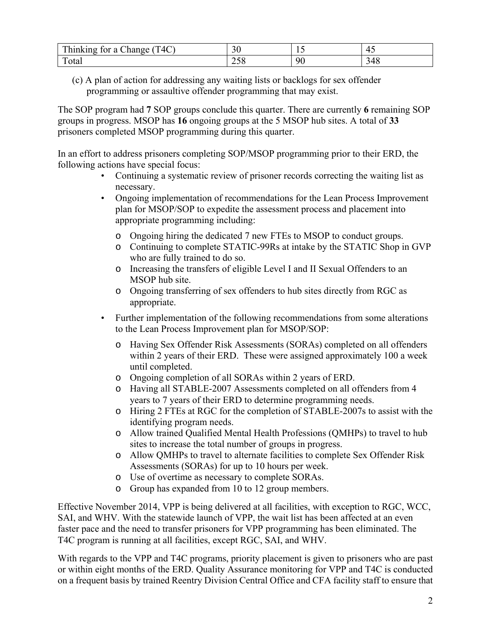| T4C<br><b>TIME</b><br>--<br>$h$ <sub>111</sub> $r$ <sub>111</sub> $\alpha$<br>$+ \, \sim$<br>:hanoe<br>$\sim$<br>1 I Y | $\sim$<br>◡ | . . |       |
|------------------------------------------------------------------------------------------------------------------------|-------------|-----|-------|
| $\mathbf{r}$                                                                                                           | ∼           | ar  | J 1 U |
| otal                                                                                                                   | ں بے        | л.  |       |

(c) A plan of action for addressing any waiting lists or backlogs for sex offender programming or assaultive offender programming that may exist.

The SOP program had **7** SOP groups conclude this quarter. There are currently **6** remaining SOP groups in progress. MSOP has **16** ongoing groups at the 5 MSOP hub sites. A total of **33** prisoners completed MSOP programming during this quarter.

In an effort to address prisoners completing SOP/MSOP programming prior to their ERD, the following actions have special focus:

- Continuing a systematic review of prisoner records correcting the waiting list as necessary.
- Ongoing implementation of recommendations for the Lean Process Improvement plan for MSOP/SOP to expedite the assessment process and placement into appropriate programming including:
	- o Ongoing hiring the dedicated 7 new FTEs to MSOP to conduct groups.
	- o Continuing to complete STATIC-99Rs at intake by the STATIC Shop in GVP who are fully trained to do so.
	- o Increasing the transfers of eligible Level I and II Sexual Offenders to an MSOP hub site.
	- o Ongoing transferring of sex offenders to hub sites directly from RGC as appropriate.
- Further implementation of the following recommendations from some alterations to the Lean Process Improvement plan for MSOP/SOP:
	- o Having Sex Offender Risk Assessments (SORAs) completed on all offenders within 2 years of their ERD. These were assigned approximately 100 a week until completed.
	- o Ongoing completion of all SORAs within 2 years of ERD.
	- o Having all STABLE-2007 Assessments completed on all offenders from 4 years to 7 years of their ERD to determine programming needs.
	- o Hiring 2 FTEs at RGC for the completion of STABLE-2007s to assist with the identifying program needs.
	- o Allow trained Qualified Mental Health Professions (QMHPs) to travel to hub sites to increase the total number of groups in progress.
	- o Allow QMHPs to travel to alternate facilities to complete Sex Offender Risk Assessments (SORAs) for up to 10 hours per week.
	- o Use of overtime as necessary to complete SORAs.
	- o Group has expanded from 10 to 12 group members.

Effective November 2014, VPP is being delivered at all facilities, with exception to RGC, WCC, SAI, and WHV. With the statewide launch of VPP, the wait list has been affected at an even faster pace and the need to transfer prisoners for VPP programming has been eliminated. The T4C program is running at all facilities, except RGC, SAI, and WHV.

With regards to the VPP and T4C programs, priority placement is given to prisoners who are past or within eight months of the ERD. Quality Assurance monitoring for VPP and T4C is conducted on a frequent basis by trained Reentry Division Central Office and CFA facility staff to ensure that